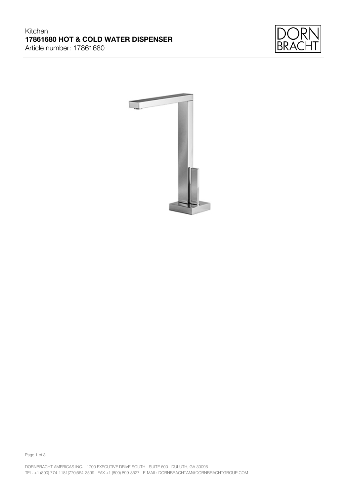## Kitchen **17861680 HOT & COLD WATER DISPENSER** Article number: 17861680





Page 1 of 3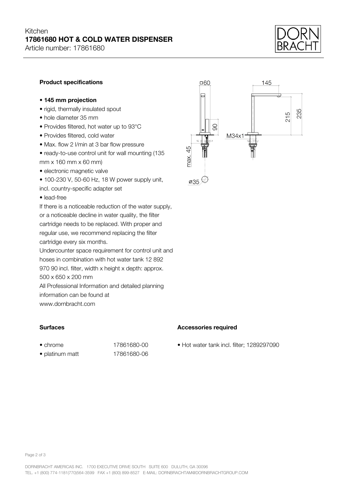# Kitchen **17861680 HOT & COLD WATER DISPENSER**

Article number: 17861680



## **Product specifications**

#### • **145 mm projection**

- rigid, thermally insulated spout
- hole diameter 35 mm
- Provides filtered, hot water up to 93°C
- Provides filtered, cold water
- Max. flow 2 l/min at 3 bar flow pressure
- ready-to-use control unit for wall mounting (135 mm <sup>x</sup> 160 mm <sup>x</sup> 60 mm)
- electronic magnetic valve
- 100-230 V, 50-60 Hz, 18 W power supply unit, incl. country-specific adapter set
- lead-free

If there is <sup>a</sup> noticeable reduction of the water supply, or <sup>a</sup> noticeable decline in water quality, the filter cartridge needs to be replaced. With proper and regular use, we recommend replacing the filter cartridge every six months.

Undercounter space requirement for control unit and hoses in combination with hot water tank 12 892 970 90 incl. filter, width <sup>x</sup> height <sup>x</sup> depth: approx. 500 x 650 x 200 mm

All Professional Information and detailed planning information can be found at www.dornbracht.com

## **Surfaces**

- chrome
- platinum matt 17861680-06

chrome 17861680-00



#### **Accessories required**

• Hot water tank incl. filter; 1289297090